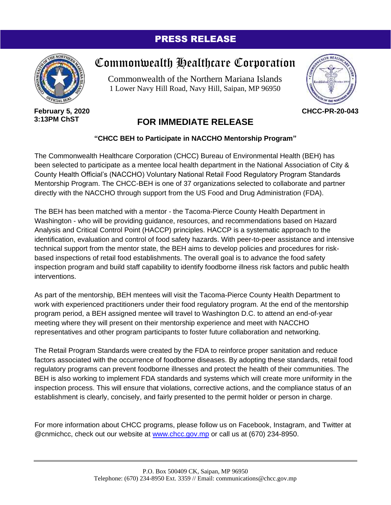## PRESS RELEASE



**February 5, 2020 3:13PM ChST**

## Commonwealth Healthcare Corporation

Commonwealth of the Northern Mariana Islands 1 Lower Navy Hill Road, Navy Hill, Saipan, MP 96950



**CHCC-PR-20-043**

## **FOR IMMEDIATE RELEASE**

## **"CHCC BEH to Participate in NACCHO Mentorship Program"**

The Commonwealth Healthcare Corporation (CHCC) Bureau of Environmental Health (BEH) has been selected to participate as a mentee local health department in the National Association of City & County Health Official's (NACCHO) Voluntary National Retail Food Regulatory Program Standards Mentorship Program. The CHCC-BEH is one of 37 organizations selected to collaborate and partner directly with the NACCHO through support from the US Food and Drug Administration (FDA).

The BEH has been matched with a mentor - the Tacoma-Pierce County Health Department in Washington - who will be providing guidance, resources, and recommendations based on Hazard Analysis and Critical Control Point (HACCP) principles. HACCP is a systematic approach to the identification, evaluation and control of food safety hazards. With peer-to-peer assistance and intensive technical support from the mentor state, the BEH aims to develop policies and procedures for riskbased inspections of retail food establishments. The overall goal is to advance the food safety inspection program and build staff capability to identify foodborne illness risk factors and public health interventions.

As part of the mentorship, BEH mentees will visit the Tacoma-Pierce County Health Department to work with experienced practitioners under their food regulatory program. At the end of the mentorship program period, a BEH assigned mentee will travel to Washington D.C. to attend an end-of-year meeting where they will present on their mentorship experience and meet with NACCHO representatives and other program participants to foster future collaboration and networking.

The Retail Program Standards were created by the FDA to reinforce proper sanitation and reduce factors associated with the occurrence of foodborne diseases. By adopting these standards, retail food regulatory programs can prevent foodborne illnesses and protect the health of their communities. The BEH is also working to implement FDA standards and systems which will create more uniformity in the inspection process. This will ensure that violations, corrective actions, and the compliance status of an establishment is clearly, concisely, and fairly presented to the permit holder or person in charge.

For more information about CHCC programs, please follow us on Facebook, Instagram, and Twitter at @cnmichcc, check out our website at [www.chcc.gov.mp](http://www.chcc.gov.mp/) or call us at (670) 234-8950.